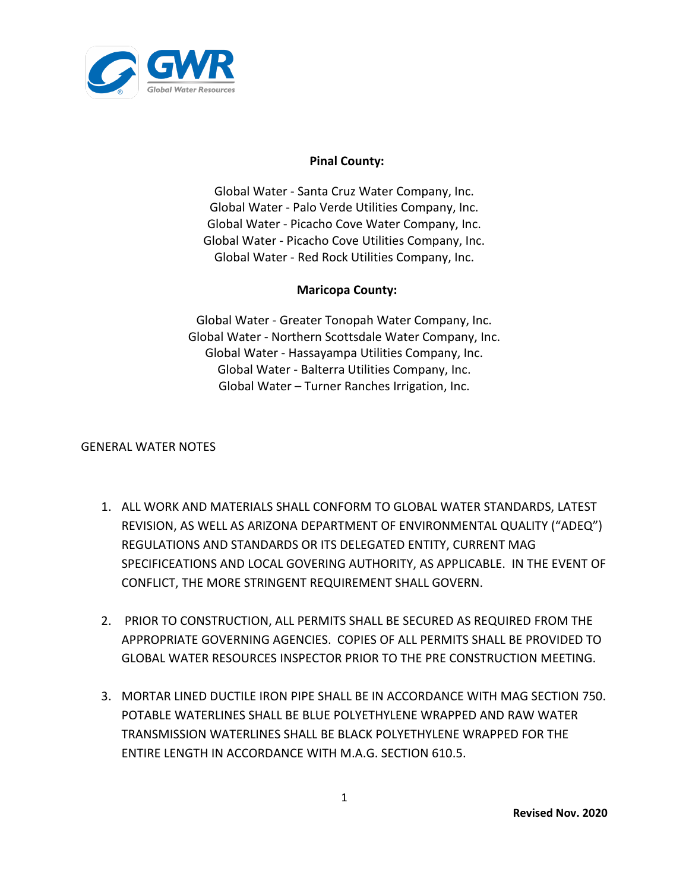

## **Pinal County:**

Global Water ‐ Santa Cruz Water Company, Inc. Global Water ‐ Palo Verde Utilities Company, Inc. Global Water ‐ Picacho Cove Water Company, Inc. Global Water ‐ Picacho Cove Utilities Company, Inc. Global Water - Red Rock Utilities Company, Inc.

## **Maricopa County:**

Global Water - Greater Tonopah Water Company, Inc. Global Water - Northern Scottsdale Water Company, Inc. Global Water - Hassayampa Utilities Company, Inc. Global Water - Balterra Utilities Company, Inc. Global Water – Turner Ranches Irrigation, Inc.

## GENERAL WATER NOTES

- 1. ALL WORK AND MATERIALS SHALL CONFORM TO GLOBAL WATER STANDARDS, LATEST REVISION, AS WELL AS ARIZONA DEPARTMENT OF ENVIRONMENTAL QUALITY ("ADEQ") REGULATIONS AND STANDARDS OR ITS DELEGATED ENTITY, CURRENT MAG SPECIFICEATIONS AND LOCAL GOVERING AUTHORITY, AS APPLICABLE. IN THE EVENT OF CONFLICT, THE MORE STRINGENT REQUIREMENT SHALL GOVERN.
- 2. PRIOR TO CONSTRUCTION, ALL PERMITS SHALL BE SECURED AS REQUIRED FROM THE APPROPRIATE GOVERNING AGENCIES. COPIES OF ALL PERMITS SHALL BE PROVIDED TO GLOBAL WATER RESOURCES INSPECTOR PRIOR TO THE PRE CONSTRUCTION MEETING.
- 3. MORTAR LINED DUCTILE IRON PIPE SHALL BE IN ACCORDANCE WITH MAG SECTION 750. POTABLE WATERLINES SHALL BE BLUE POLYETHYLENE WRAPPED AND RAW WATER TRANSMISSION WATERLINES SHALL BE BLACK POLYETHYLENE WRAPPED FOR THE ENTIRE LENGTH IN ACCORDANCE WITH M.A.G. SECTION 610.5.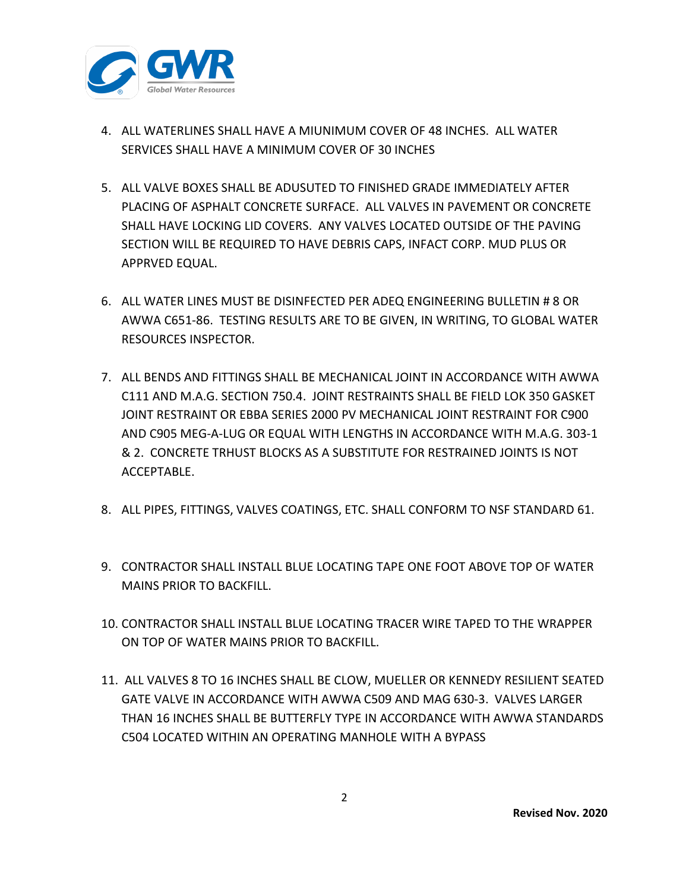

- 4. ALL WATERLINES SHALL HAVE A MIUNIMUM COVER OF 48 INCHES. ALL WATER SERVICES SHALL HAVE A MINIMUM COVER OF 30 INCHES
- 5. ALL VALVE BOXES SHALL BE ADUSUTED TO FINISHED GRADE IMMEDIATELY AFTER PLACING OF ASPHALT CONCRETE SURFACE. ALL VALVES IN PAVEMENT OR CONCRETE SHALL HAVE LOCKING LID COVERS. ANY VALVES LOCATED OUTSIDE OF THE PAVING SECTION WILL BE REQUIRED TO HAVE DEBRIS CAPS, INFACT CORP. MUD PLUS OR APPRVED EQUAL.
- 6. ALL WATER LINES MUST BE DISINFECTED PER ADEQ ENGINEERING BULLETIN # 8 OR AWWA C651-86. TESTING RESULTS ARE TO BE GIVEN, IN WRITING, TO GLOBAL WATER RESOURCES INSPECTOR.
- 7. ALL BENDS AND FITTINGS SHALL BE MECHANICAL JOINT IN ACCORDANCE WITH AWWA C111 AND M.A.G. SECTION 750.4. JOINT RESTRAINTS SHALL BE FIELD LOK 350 GASKET JOINT RESTRAINT OR EBBA SERIES 2000 PV MECHANICAL JOINT RESTRAINT FOR C900 AND C905 MEG-A-LUG OR EQUAL WITH LENGTHS IN ACCORDANCE WITH M.A.G. 303-1 & 2. CONCRETE TRHUST BLOCKS AS A SUBSTITUTE FOR RESTRAINED JOINTS IS NOT ACCEPTABLE.
- 8. ALL PIPES, FITTINGS, VALVES COATINGS, ETC. SHALL CONFORM TO NSF STANDARD 61.
- 9. CONTRACTOR SHALL INSTALL BLUE LOCATING TAPE ONE FOOT ABOVE TOP OF WATER MAINS PRIOR TO BACKFILL.
- 10. CONTRACTOR SHALL INSTALL BLUE LOCATING TRACER WIRE TAPED TO THE WRAPPER ON TOP OF WATER MAINS PRIOR TO BACKFILL.
- 11. ALL VALVES 8 TO 16 INCHES SHALL BE CLOW, MUELLER OR KENNEDY RESILIENT SEATED GATE VALVE IN ACCORDANCE WITH AWWA C509 AND MAG 630-3. VALVES LARGER THAN 16 INCHES SHALL BE BUTTERFLY TYPE IN ACCORDANCE WITH AWWA STANDARDS C504 LOCATED WITHIN AN OPERATING MANHOLE WITH A BYPASS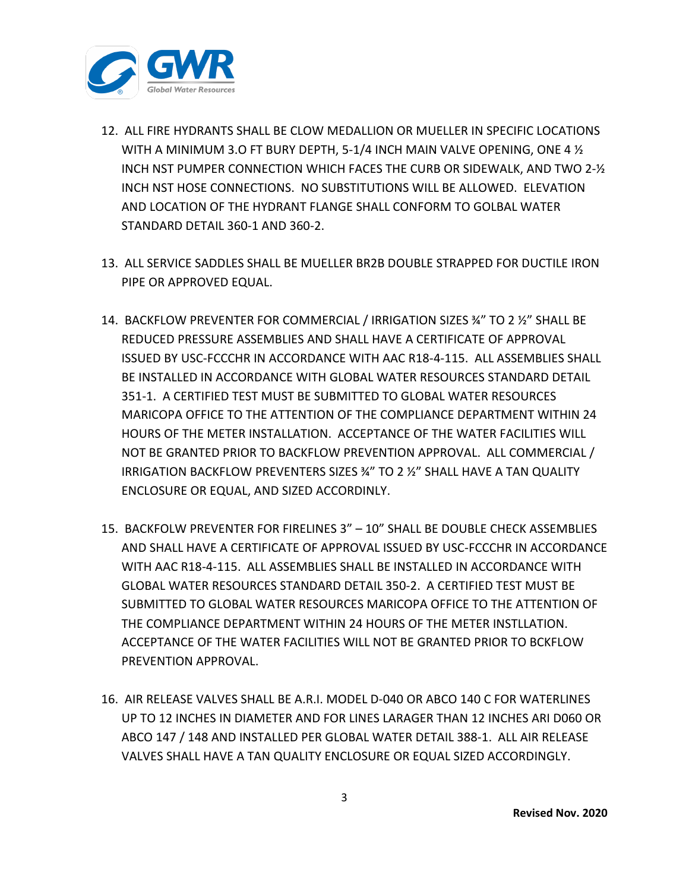

- 12. ALL FIRE HYDRANTS SHALL BE CLOW MEDALLION OR MUELLER IN SPECIFIC LOCATIONS WITH A MINIMUM 3.O FT BURY DEPTH, 5-1/4 INCH MAIN VALVE OPENING, ONE 4 ½ INCH NST PUMPER CONNECTION WHICH FACES THE CURB OR SIDEWALK, AND TWO 2-½ INCH NST HOSE CONNECTIONS. NO SUBSTITUTIONS WILL BE ALLOWED. ELEVATION AND LOCATION OF THE HYDRANT FLANGE SHALL CONFORM TO GOLBAL WATER STANDARD DETAIL 360-1 AND 360-2.
- 13. ALL SERVICE SADDLES SHALL BE MUELLER BR2B DOUBLE STRAPPED FOR DUCTILE IRON PIPE OR APPROVED EQUAL.
- 14. BACKFLOW PREVENTER FOR COMMERCIAL / IRRIGATION SIZES ¾" TO 2 ½" SHALL BE REDUCED PRESSURE ASSEMBLIES AND SHALL HAVE A CERTIFICATE OF APPROVAL ISSUED BY USC-FCCCHR IN ACCORDANCE WITH AAC R18-4-115. ALL ASSEMBLIES SHALL BE INSTALLED IN ACCORDANCE WITH GLOBAL WATER RESOURCES STANDARD DETAIL 351-1. A CERTIFIED TEST MUST BE SUBMITTED TO GLOBAL WATER RESOURCES MARICOPA OFFICE TO THE ATTENTION OF THE COMPLIANCE DEPARTMENT WITHIN 24 HOURS OF THE METER INSTALLATION. ACCEPTANCE OF THE WATER FACILITIES WILL NOT BE GRANTED PRIOR TO BACKFLOW PREVENTION APPROVAL. ALL COMMERCIAL / IRRIGATION BACKFLOW PREVENTERS SIZES ¾" TO 2 ½" SHALL HAVE A TAN QUALITY ENCLOSURE OR EQUAL, AND SIZED ACCORDINLY.
- 15. BACKFOLW PREVENTER FOR FIRELINES 3" 10" SHALL BE DOUBLE CHECK ASSEMBLIES AND SHALL HAVE A CERTIFICATE OF APPROVAL ISSUED BY USC-FCCCHR IN ACCORDANCE WITH AAC R18-4-115. ALL ASSEMBLIES SHALL BE INSTALLED IN ACCORDANCE WITH GLOBAL WATER RESOURCES STANDARD DETAIL 350-2. A CERTIFIED TEST MUST BE SUBMITTED TO GLOBAL WATER RESOURCES MARICOPA OFFICE TO THE ATTENTION OF THE COMPLIANCE DEPARTMENT WITHIN 24 HOURS OF THE METER INSTLLATION. ACCEPTANCE OF THE WATER FACILITIES WILL NOT BE GRANTED PRIOR TO BCKFLOW PREVENTION APPROVAL.
- 16. AIR RELEASE VALVES SHALL BE A.R.I. MODEL D-040 OR ABCO 140 C FOR WATERLINES UP TO 12 INCHES IN DIAMETER AND FOR LINES LARAGER THAN 12 INCHES ARI D060 OR ABCO 147 / 148 AND INSTALLED PER GLOBAL WATER DETAIL 388-1. ALL AIR RELEASE VALVES SHALL HAVE A TAN QUALITY ENCLOSURE OR EQUAL SIZED ACCORDINGLY.